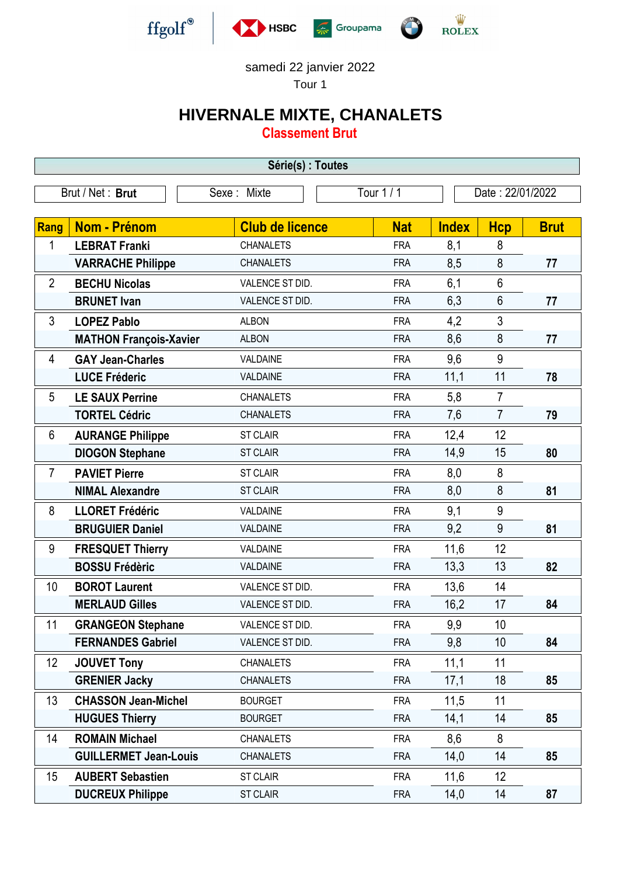

## samedi 22 janvier 2022

Tour 1

## **HIVERNALE MIXTE, CHANALETS**

**Classement Brut**

| Série(s) : Toutes |                               |                        |            |                  |                |             |  |  |  |
|-------------------|-------------------------------|------------------------|------------|------------------|----------------|-------------|--|--|--|
| Brut / Net: Brut  |                               | Sexe: Mixte            | Tour 1 / 1 | Date: 22/01/2022 |                |             |  |  |  |
|                   |                               |                        |            |                  |                |             |  |  |  |
| Rang              | <b>Nom - Prénom</b>           | <b>Club de licence</b> | <b>Nat</b> | <b>Index</b>     | <b>Hcp</b>     | <b>Brut</b> |  |  |  |
| 1                 | <b>LEBRAT Franki</b>          | <b>CHANALETS</b>       | <b>FRA</b> | 8,1              | 8              |             |  |  |  |
|                   | <b>VARRACHE Philippe</b>      | <b>CHANALETS</b>       | <b>FRA</b> | 8,5              | 8              | 77          |  |  |  |
| $\overline{2}$    | <b>BECHU Nicolas</b>          | VALENCE ST DID.        | <b>FRA</b> | 6,1              | 6              |             |  |  |  |
|                   | <b>BRUNET</b> Ivan            | VALENCE ST DID.        | <b>FRA</b> | 6,3              | 6              | 77          |  |  |  |
| 3                 | <b>LOPEZ Pablo</b>            | <b>ALBON</b>           | <b>FRA</b> | 4,2              | 3              |             |  |  |  |
|                   | <b>MATHON François-Xavier</b> | <b>ALBON</b>           | <b>FRA</b> | 8,6              | 8              | 77          |  |  |  |
| 4                 | <b>GAY Jean-Charles</b>       | VALDAINE               | <b>FRA</b> | 9,6              | 9              |             |  |  |  |
|                   | <b>LUCE Fréderic</b>          | VALDAINE               | <b>FRA</b> | 11,1             | 11             | 78          |  |  |  |
| 5                 | <b>LE SAUX Perrine</b>        | <b>CHANALETS</b>       | <b>FRA</b> | 5,8              | $\overline{7}$ |             |  |  |  |
|                   | <b>TORTEL Cédric</b>          | <b>CHANALETS</b>       | <b>FRA</b> | 7,6              | $\overline{7}$ | 79          |  |  |  |
| 6                 | <b>AURANGE Philippe</b>       | <b>ST CLAIR</b>        | <b>FRA</b> | 12,4             | 12             |             |  |  |  |
|                   | <b>DIOGON Stephane</b>        | <b>ST CLAIR</b>        | <b>FRA</b> | 14,9             | 15             | 80          |  |  |  |
| $\overline{7}$    | <b>PAVIET Pierre</b>          | <b>ST CLAIR</b>        | <b>FRA</b> | 8,0              | 8              |             |  |  |  |
|                   | <b>NIMAL Alexandre</b>        | <b>ST CLAIR</b>        | <b>FRA</b> | 8,0              | 8              | 81          |  |  |  |
| 8                 | <b>LLORET Frédéric</b>        | VALDAINE               | <b>FRA</b> | 9,1              | 9              |             |  |  |  |
|                   | <b>BRUGUIER Daniel</b>        | VALDAINE               | <b>FRA</b> | 9,2              | 9              | 81          |  |  |  |
| 9                 | <b>FRESQUET Thierry</b>       | VALDAINE               | <b>FRA</b> | 11,6             | 12             |             |  |  |  |
|                   | <b>BOSSU Frédèric</b>         | VALDAINE               | <b>FRA</b> | 13,3             | 13             | 82          |  |  |  |
| 10                | <b>BOROT Laurent</b>          | VALENCE ST DID.        | <b>FRA</b> | 13,6             | 14             |             |  |  |  |
|                   | <b>MERLAUD Gilles</b>         | VALENCE ST DID.        | <b>FRA</b> | 16,2             | 17             | 84          |  |  |  |
| 11                | <b>GRANGEON Stephane</b>      | VALENCE ST DID.        | <b>FRA</b> | 9,9              | 10             |             |  |  |  |
|                   | <b>FERNANDES Gabriel</b>      | VALENCE ST DID.        | <b>FRA</b> | 9,8              | 10             | 84          |  |  |  |
| 12                | <b>JOUVET Tony</b>            | <b>CHANALETS</b>       | <b>FRA</b> | 11,1             | 11             |             |  |  |  |
|                   | <b>GRENIER Jacky</b>          | <b>CHANALETS</b>       | <b>FRA</b> | 17,1             | 18             | 85          |  |  |  |
| 13                | <b>CHASSON Jean-Michel</b>    | <b>BOURGET</b>         | <b>FRA</b> | 11,5             | 11             |             |  |  |  |
|                   | <b>HUGUES Thierry</b>         | <b>BOURGET</b>         | <b>FRA</b> | 14,1             | 14             | 85          |  |  |  |
| 14                | <b>ROMAIN Michael</b>         | <b>CHANALETS</b>       | <b>FRA</b> | 8,6              | 8              |             |  |  |  |
|                   | <b>GUILLERMET Jean-Louis</b>  | <b>CHANALETS</b>       | <b>FRA</b> | 14,0             | 14             | 85          |  |  |  |
| 15                | <b>AUBERT Sebastien</b>       | <b>ST CLAIR</b>        | <b>FRA</b> | 11,6             | 12             |             |  |  |  |
|                   | <b>DUCREUX Philippe</b>       | <b>ST CLAIR</b>        | <b>FRA</b> | 14,0             | 14             | 87          |  |  |  |